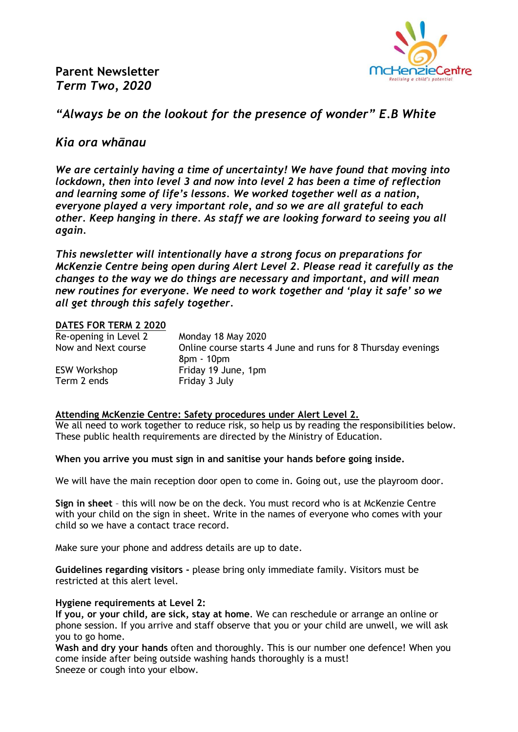**Parent Newsletter** *Term Two, 2020*



# *"Always be on the lookout for the presence of wonder" E.B White*

## *Kia ora whānau*

*We are certainly having a time of uncertainty! We have found that moving into lockdown, then into level 3 and now into level 2 has been a time of reflection and learning some of life's lessons. We worked together well as a nation, everyone played a very important role, and so we are all grateful to each other. Keep hanging in there. As staff we are looking forward to seeing you all again.* 

*This newsletter will intentionally have a strong focus on preparations for McKenzie Centre being open during Alert Level 2. Please read it carefully as the changes to the way we do things are necessary and important, and will mean new routines for everyone. We need to work together and 'play it safe' so we all get through this safely together.* 

## **DATES FOR TERM 2 2020**

| Re-opening in Level 2 | Monday 18 May 2020                                           |
|-----------------------|--------------------------------------------------------------|
| Now and Next course   | Online course starts 4 June and runs for 8 Thursday evenings |
|                       | 8pm - 10pm                                                   |
| <b>ESW Workshop</b>   | Friday 19 June, 1pm                                          |
| Term 2 ends           | Friday 3 July                                                |

## **Attending McKenzie Centre: Safety procedures under Alert Level 2.**

We all need to work together to reduce risk, so help us by reading the responsibilities below. These public health requirements are directed by the Ministry of Education.

#### **When you arrive you must sign in and sanitise your hands before going inside.**

We will have the main reception door open to come in. Going out, use the playroom door.

**Sign in sheet** – this will now be on the deck. You must record who is at McKenzie Centre with your child on the sign in sheet. Write in the names of everyone who comes with your child so we have a contact trace record.

Make sure your phone and address details are up to date.

**Guidelines regarding visitors -** please bring only immediate family. Visitors must be restricted at this alert level.

#### **Hygiene requirements at Level 2:**

**If you, or your child, are sick, stay at home**. We can reschedule or arrange an online or phone session. If you arrive and staff observe that you or your child are unwell, we will ask you to go home.

**Wash and dry your hands** often and thoroughly. This is our number one defence! When you come inside after being outside washing hands thoroughly is a must! Sneeze or cough into your elbow.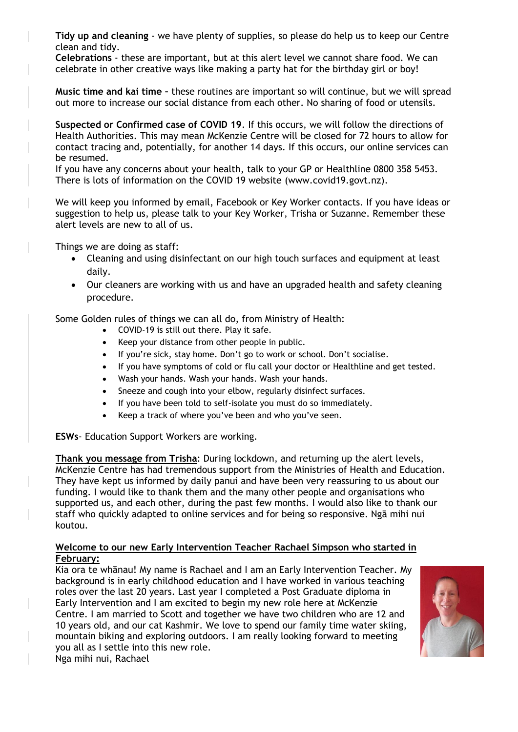**Tidy up and cleaning** - we have plenty of supplies, so please do help us to keep our Centre clean and tidy.

**Celebrations** - these are important, but at this alert level we cannot share food. We can celebrate in other creative ways like making a party hat for the birthday girl or boy!

**Music time and kai time –** these routines are important so will continue, but we will spread out more to increase our social distance from each other. No sharing of food or utensils.

**Suspected or Confirmed case of COVID 19**. If this occurs, we will follow the directions of Health Authorities. This may mean McKenzie Centre will be closed for 72 hours to allow for contact tracing and, potentially, for another 14 days. If this occurs, our online services can be resumed.

If you have any concerns about your health, talk to your GP or Healthline 0800 358 5453. There is lots of information on the COVID 19 website (www.covid19.govt.nz).

We will keep you informed by email, Facebook or Key Worker contacts. If you have ideas or suggestion to help us, please talk to your Key Worker, Trisha or Suzanne. Remember these alert levels are new to all of us.

Things we are doing as staff:

- Cleaning and using disinfectant on our high touch surfaces and equipment at least daily.
- Our cleaners are working with us and have an upgraded health and safety cleaning procedure.

Some Golden rules of things we can all do, from Ministry of Health:

- COVID-19 is still out there. Play it safe.
- Keep your distance from other people in public.
- If you're sick, stay home. Don't go to work or school. Don't socialise.
- If you have symptoms of cold or flu call your doctor or Healthline and get tested.
- Wash your hands. Wash your hands. Wash your hands.
- Sneeze and cough into your elbow, regularly disinfect surfaces.
- If you have been told to self-isolate you must do so immediately.
- Keep a track of where you've been and who you've seen.

**ESWs**- Education Support Workers are working.

**Thank you message from Trisha**: During lockdown, and returning up the alert levels, McKenzie Centre has had tremendous support from the Ministries of Health and Education. They have kept us informed by daily panui and have been very reassuring to us about our funding. I would like to thank them and the many other people and organisations who supported us, and each other, during the past few months. I would also like to thank our staff who quickly adapted to online services and for being so responsive. Ngā mihi nui koutou.

## **Welcome to our new Early Intervention Teacher Rachael Simpson who started in February:**

Kia ora te whānau! My name is Rachael and I am an Early Intervention Teacher. My background is in early childhood education and I have worked in various teaching roles over the last 20 years. Last year I completed a Post Graduate diploma in Early Intervention and I am excited to begin my new role here at McKenzie Centre. I am married to Scott and together we have two children who are 12 and 10 years old, and our cat Kashmir. We love to spend our family time water skiing, mountain biking and exploring outdoors. I am really looking forward to meeting you all as I settle into this new role.



Nga mihi nui, Rachael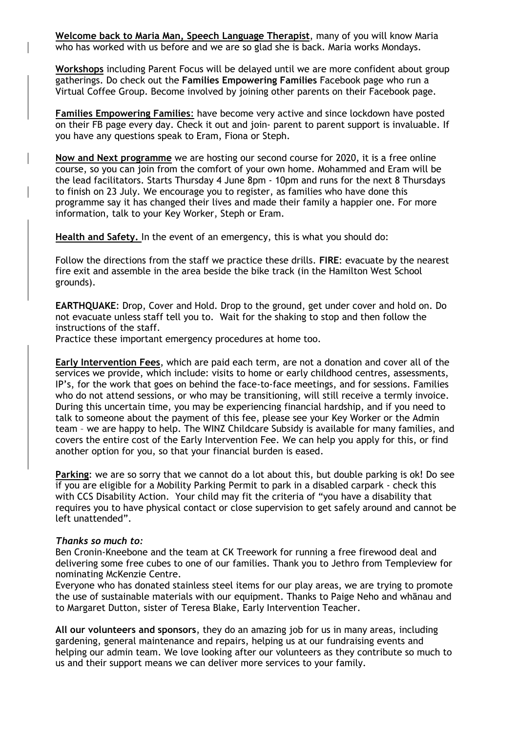**Welcome back to Maria Man, Speech Language Therapist**, many of you will know Maria who has worked with us before and we are so glad she is back. Maria works Mondays.

**Workshops** including Parent Focus will be delayed until we are more confident about group gatherings. Do check out the **Families Empowering Families** Facebook page who run a Virtual Coffee Group. Become involved by joining other parents on their Facebook page.

**Families Empowering Families**: have become very active and since lockdown have posted on their FB page every day. Check it out and join- parent to parent support is invaluable. If you have any questions speak to Eram, Fiona or Steph.

**Now and Next programme** we are hosting our second course for 2020, it is a free online course, so you can join from the comfort of your own home. Mohammed and Eram will be the lead facilitators. Starts Thursday 4 June 8pm - 10pm and runs for the next 8 Thursdays to finish on 23 July. We encourage you to register, as families who have done this programme say it has changed their lives and made their family a happier one. For more information, talk to your Key Worker, Steph or Eram.

**Health and Safety.** In the event of an emergency, this is what you should do:

Follow the directions from the staff we practice these drills. **FIRE**: evacuate by the nearest fire exit and assemble in the area beside the bike track (in the Hamilton West School grounds).

**EARTHQUAKE**: Drop, Cover and Hold. Drop to the ground, get under cover and hold on. Do not evacuate unless staff tell you to. Wait for the shaking to stop and then follow the instructions of the staff.

Practice these important emergency procedures at home too.

**Early Intervention Fees**, which are paid each term, are not a donation and cover all of the services we provide, which include: visits to home or early childhood centres, assessments, IP's, for the work that goes on behind the face-to-face meetings, and for sessions. Families who do not attend sessions, or who may be transitioning, will still receive a termly invoice. During this uncertain time, you may be experiencing financial hardship, and if you need to talk to someone about the payment of this fee, please see your Key Worker or the Admin team – we are happy to help. The WINZ Childcare Subsidy is available for many families, and covers the entire cost of the Early Intervention Fee. We can help you apply for this, or find another option for you, so that your financial burden is eased.

**Parking**: we are so sorry that we cannot do a lot about this, but double parking is ok! Do see if you are eligible for a Mobility Parking Permit to park in a disabled carpark - check this with CCS Disability Action. Your child may fit the criteria of "you have a disability that requires you to have physical contact or close supervision to get safely around and cannot be left unattended".

#### *Thanks so much to:*

Ben Cronin-Kneebone and the team at CK Treework for running a free firewood deal and delivering some free cubes to one of our families. Thank you to Jethro from Templeview for nominating McKenzie Centre.

Everyone who has donated stainless steel items for our play areas, we are trying to promote the use of sustainable materials with our equipment. Thanks to Paige Neho and whānau and to Margaret Dutton, sister of Teresa Blake, Early Intervention Teacher.

**All our volunteers and sponsors**, they do an amazing job for us in many areas, including gardening, general maintenance and repairs, helping us at our fundraising events and helping our admin team. We love looking after our volunteers as they contribute so much to us and their support means we can deliver more services to your family.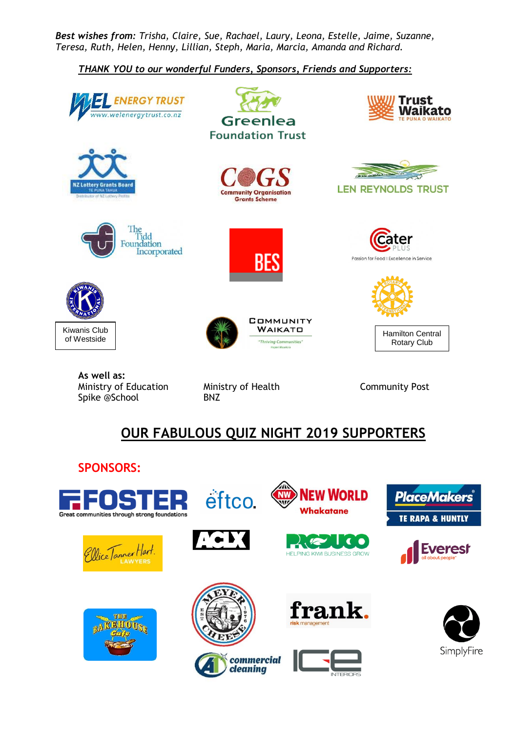*Best wishes from: Trisha, Claire, Sue, Rachael, Laury, Leona, Estelle, Jaime, Suzanne, Teresa, Ruth, Helen, Henny, Lillian, Steph, Maria, Marcia, Amanda and Richard.*

# *THANK YOU to our wonderful Funders, Sponsors, Friends and Supporters:*



Ministry of Education Ministry of Health Community Post Spike @School BNZ

# **OUR FABULOUS QUIZ NIGHT 2019 SUPPORTERS**